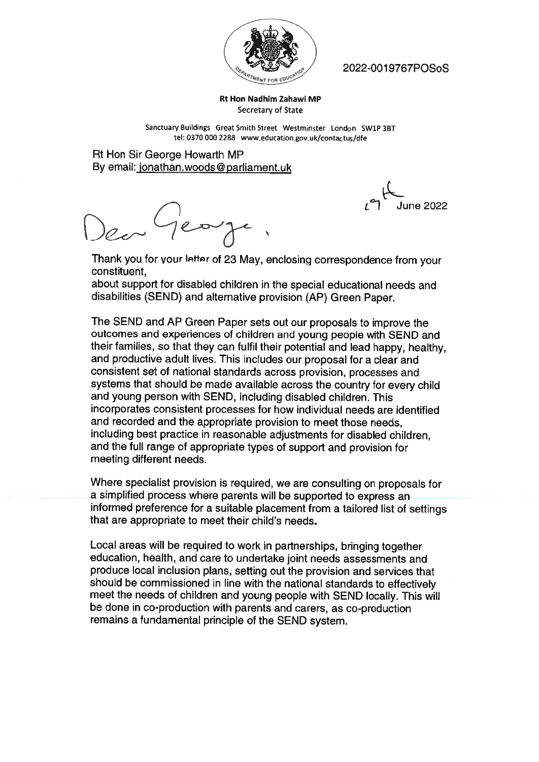

W // 2022-0O19767POSoS

Rt Hon Nadhim Zahawi MP Secretary of State

Sanctuary Buildings Great Smith Street Westminster London SW1P 3BT tel: 0370 <sup>000</sup> 2288 www.educationgov.uk/contactus/dfe

Rt Hon Sir George Howarth MP By email: jonathan.woods@parliament.uk

June 2022

Thank you for your letter of <sup>23</sup> May, enclosing correspondence from your constituent.

about support for disabled children in the special educational needs and disabilities (SEND) and alternative provision (AP) Green Paper.

The SEND and AP Green Paper sets out our proposals to improve the outcomes and experiences of children and young people with SEND and their families, so that they can fulfil their potential and lead happy, healthy, and productive adult lives. This includes our proposal for <sup>a</sup> clear and consistent set of national standards across provision, processes and systems that should be made available across the country for every child and young person with SEND, including disabled children. This incorporates consistent processes for how individual needs are identified and recorded and the appropriate provision to meet those needs, including best practice in reasonable adjustments for disabled children, and the full range of appropriate types of support and provision for meeting different needs.

Where specialist provision is required, we are consulting on proposals for <sup>a</sup> simplified process where parents will be supported to express an informed preference for <sup>a</sup> suitable placement from <sup>a</sup> tailored list of settings that are appropriate to meet their child's needs.

Local areas will be required to work in partnerships, bringing together education, health, and care to undertake joint needs assessments and produce local inclusion <sup>p</sup>lans, setting out the provision and services that should be commissioned in line with the national standards to effectively meet the needs of children and young people with SEND locally. This will be done in co-production with parents and carers, as co-production remains <sup>a</sup> fundamental principle of the SEND system.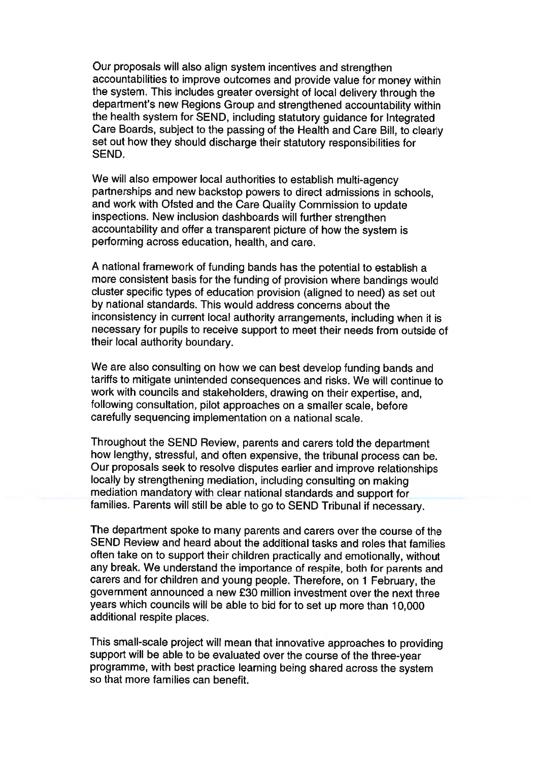Our proposals will also align system incentives and strengthen accountabilities to improve outcomes and provide value for money within the system. This includes greater oversight of local delivery through the department's new Regions Group and strengthened accountability within the health system for SEND, including statutory guidance for Integrated Care Boards, subject to the passing of the Health and Care Bill, to clearly set out how they should discharge their statutory responsibilities for SEND.

We will also empower local authorities to establish multi-agency partnerships and new backstop powers to direct admissions in schools, and work with Ofsted and the Care Quality Commission to update inspections. New inclusion dashboards will further strengthen accountability and offer <sup>a</sup> transparent <sup>p</sup>icture of how the system is performing across education, health, and care.

<sup>A</sup> national framework of funding bands has the potential to establish <sup>a</sup> more consistent basis for the funding of provision where bandings would cluster specific types of education provision (aligned to need) as set out by national standards. This would address concerns about the inconsistency in current local authority arrangements, including when it is necessary for pupils to receive support to meet their needs from outside of their local authority boundary.

We are also consulting on how we can best develop funding bands and tariffs to mitigate unintended consequences and risks. We will continue to work with councils and stakeholders, drawing on their expertise, and, following consultation, <sup>p</sup>ilot approaches on <sup>a</sup> smaller scale, before carefully sequencing implementation on <sup>a</sup> national scale.

Throughout the SEND Review, parents and carers told the department how lengthy, stressful, and often expensive, the tribunal process can be. Our proposals seek to resolve disputes earlier and improve relationships locally by strengthening mediation, including consulting on making mediation mandatory with clear national standards and support for families. Parents will still be able to go to SEND Tribunal if necessary.

The department spoke to many parents and carers over the course of the SEND Review and heard about the additional tasks and roles that families often take on to support their children practically and emotionally, without any break. We understand the importance of respite, both for parents and carers and for children and young people. Therefore, on <sup>1</sup> February, the government announced <sup>a</sup> new £30 million investment over the next three years which councils will be able to bid for to set up more than 10,000 additional respite places.

This small-scale project will mean that innovative approaches to providing support will be able to be evaluated over the course of the three-year programme, with best practice learning being shared across the system so that more families can benefit.